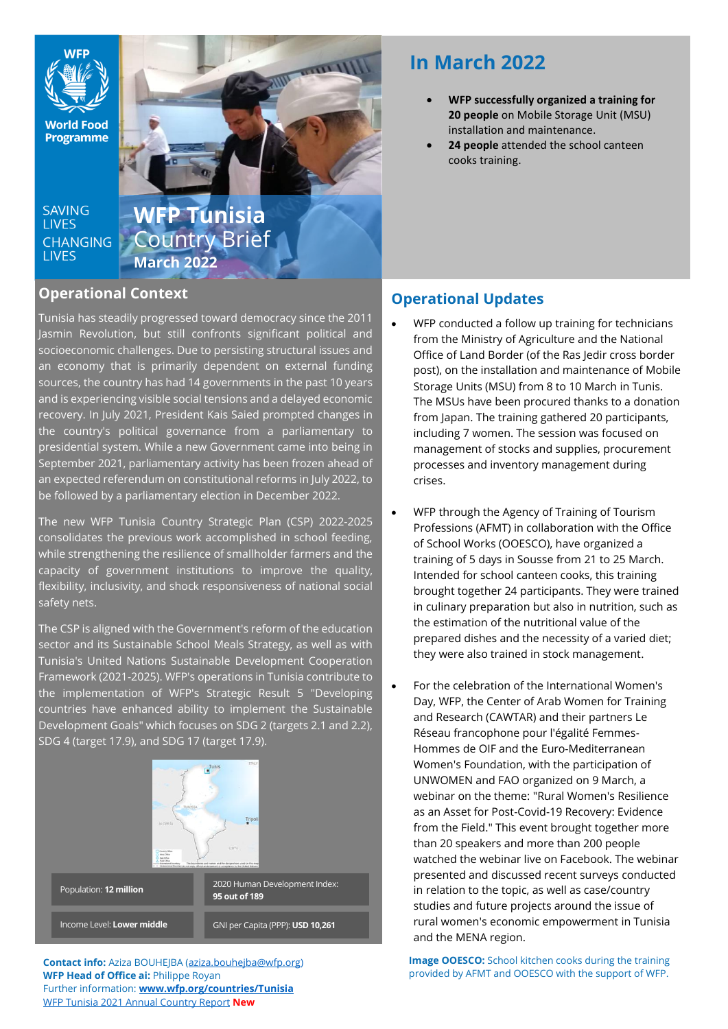

**World Food Programme** 

SAVING **TIVES CHANGING LIVES** 

**WFP Tunisia** Country Brief **March 2022** 

### **Operational Context**

Tunisia has steadily progressed toward democracy since the 2011 Jasmin Revolution, but still confronts significant political and socioeconomic challenges. Due to persisting structural issues and an economy that is primarily dependent on external funding sources, the country has had 14 governments in the past 10 years and is experiencing visible social tensions and a delayed economic recovery. In July 2021, President Kais Saied prompted changes in the country's political governance from a parliamentary to presidential system. While a new Government came into being in September 2021, parliamentary activity has been frozen ahead of an expected referendum on constitutional reforms in July 2022, to be followed by a parliamentary election in December 2022.

The new WFP Tunisia Country Strategic Plan (CSP) 2022-2025 consolidates the previous work accomplished in school feeding, while strengthening the resilience of smallholder farmers and the capacity of government institutions to improve the quality, flexibility, inclusivity, and shock responsiveness of national social safety nets.

The CSP is aligned with the Government's reform of the education sector and its Sustainable School Meals Strategy, as well as with Tunisia's United Nations Sustainable Development Cooperation Framework (2021-2025). WFP's operations in Tunisia contribute to the implementation of WFP's Strategic Result 5 "Developing countries have enhanced ability to implement the Sustainable Development Goals" which focuses on SDG 2 (targets 2.1 and 2.2), SDG 4 (target 17.9), and SDG 17 (target 17.9).



**Contact info:** Aziza BOUHEJBA [\(aziza.bouhejba@wfp.org\)](mailto:aziza.bouhejba@wfp.org) **WFP Head of Office ai:** Philippe Royan Further information: **[www.wfp.org/countries/Tunisia](http://www.wfp.org/countries/Tunisia)** WFP Tunisia [2021 Annual Country Report](https://www.wfp.org/operations/annual-country-report?operation_id=TN01&year=2021#/23316) **New**

# **In March 2022**

- **WFP successfully organized a training for 20 people** on Mobile Storage Unit (MSU) installation and maintenance.
- **24 people** attended the school canteen cooks training.

## **Operational Updates**

- WFP conducted a follow up training for technicians from the Ministry of Agriculture and the National Office of Land Border (of the Ras Jedir cross border post), on the installation and maintenance of Mobile Storage Units (MSU) from 8 to 10 March in Tunis. The MSUs have been procured thanks to a donation from Japan. The training gathered 20 participants, including 7 women. The session was focused on management of stocks and supplies, procurement processes and inventory management during crises.
- WFP through the Agency of Training of Tourism Professions (AFMT) in collaboration with the Office of School Works (OOESCO), have organized a training of 5 days in Sousse from 21 to 25 March. Intended for school canteen cooks, this training brought together 24 participants. They were trained in culinary preparation but also in nutrition, such as the estimation of the nutritional value of the prepared dishes and the necessity of a varied diet; they were also trained in stock management.
- For the celebration of the International Women's Day, WFP, the Center of Arab Women for Training and Research (CAWTAR) and their partners Le Réseau francophone pour l'égalité Femmes-Hommes de OIF and the Euro-Mediterranean Women's Foundation, with the participation of UNWOMEN and FAO organized on 9 March, a webinar on the theme: "Rural Women's Resilience as an Asset for Post-Covid-19 Recovery: Evidence from the Field." This event brought together more than 20 speakers and more than 200 people watched the webinar live on Facebook. The webinar presented and discussed recent surveys conducted in relation to the topic, as well as case/country studies and future projects around the issue of rural women's economic empowerment in Tunisia and the MENA region.

**Image OOESCO:** School kitchen cooks during the training provided by AFMT and OOESCO with the support of WFP.